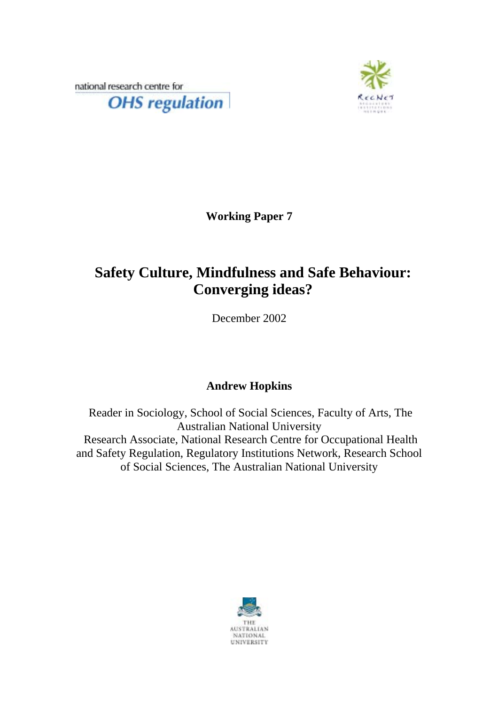national research centre for **OHS** regulation



**Working Paper 7** 

# **Safety Culture, Mindfulness and Safe Behaviour: Converging ideas?**

December 2002

## **Andrew Hopkins**

 Reader in Sociology, School of Social Sciences, Faculty of Arts, The Australian National University Research Associate, National Research Centre for Occupational Health and Safety Regulation, Regulatory Institutions Network, Research School of Social Sciences, The Australian National University

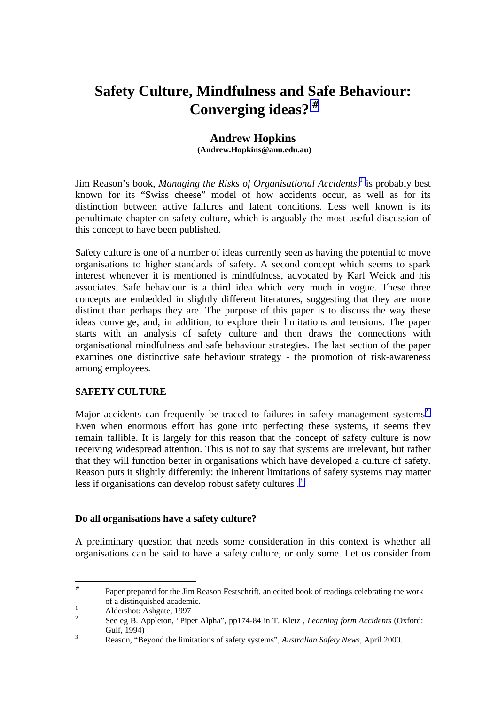## **Safety Culture, Mindfulness and Safe Behaviour: Converging ideas?** #

#### **Andrew Hopkins (Andrew.Hopkins@anu.edu.au)**

Jim Reason's book, *Managing the Risks of Organisational Accidents*,<sup>1</sup> is probably best known for its "Swiss cheese" model of how accidents occur, as well as for its distinction between active failures and latent conditions. Less well known is its penultimate chapter on safety culture, which is arguably the most useful discussion of this concept to have been published.

Safety culture is one of a number of ideas currently seen as having the potential to move organisations to higher standards of safety. A second concept which seems to spark interest whenever it is mentioned is mindfulness, advocated by Karl Weick and his associates. Safe behaviour is a third idea which very much in vogue. These three concepts are embedded in slightly different literatures, suggesting that they are more distinct than perhaps they are. The purpose of this paper is to discuss the way these ideas converge, and, in addition, to explore their limitations and tensions. The paper starts with an analysis of safety culture and then draws the connections with organisational mindfulness and safe behaviour strategies. The last section of the paper examines one distinctive safe behaviour strategy - the promotion of risk-awareness among employees.

## **SAFETY CULTURE**

Major accidents can frequently be traced to failures in safety management systems<sup>2</sup>. Even when enormous effort has gone into perfecting these systems, it seems they remain fallible. It is largely for this reason that the concept of safety culture is now receiving widespread attention. This is not to say that systems are irrelevant, but rather that they will function better in organisations which have developed a culture of safety. Reason puts it slightly differently: the inherent limitations of safety systems may matter less if organisations can develop robust safety cultures.<sup>3</sup>

#### **Do all organisations have a safety culture?**

A preliminary question that needs some consideration in this context is whether all organisations can be said to have a safety culture, or only some. Let us consider from

l

<sup>#</sup> Paper prepared for the Jim Reason Festschrift, an edited book of readings celebrating the work of a distinquished academic. 1

Aldershot: Ashgate, 1997

<sup>2</sup> See eg B. Appleton, "Piper Alpha", pp174-84 in T. Kletz , *Learning form Accidents* (Oxford: Gulf,  $1994$ 

Reason, "Beyond the limitations of safety systems", *Australian Safety News*, April 2000.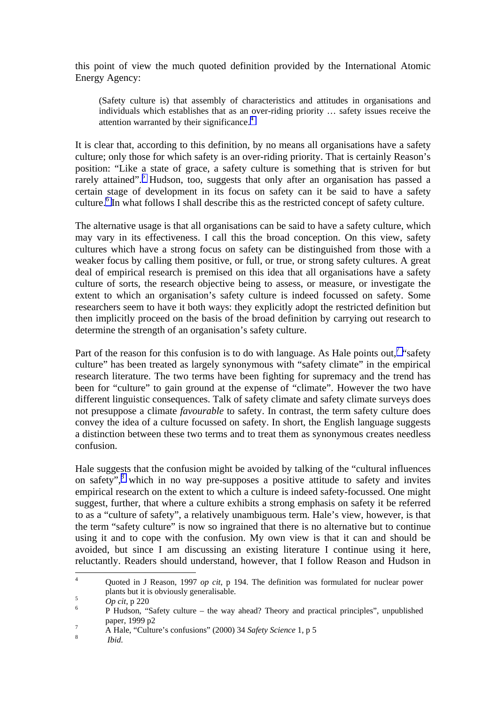this point of view the much quoted definition provided by the International Atomic Energy Agency:

(Safety culture is) that assembly of characteristics and attitudes in organisations and individuals which establishes that as an over-riding priority … safety issues receive the attention warranted by their significance.<sup>4</sup>

It is clear that, according to this definition, by no means all organisations have a safety culture; only those for which safety is an over-riding priority. That is certainly Reason's position: "Like a state of grace, a safety culture is something that is striven for but rarely attained".<sup>5</sup> Hudson, too, suggests that only after an organisation has passed a certain stage of development in its focus on safety can it be said to have a safety culture.<sup>6</sup> In what follows I shall describe this as the restricted concept of safety culture.

The alternative usage is that all organisations can be said to have a safety culture, which may vary in its effectiveness. I call this the broad conception. On this view, safety cultures which have a strong focus on safety can be distinguished from those with a weaker focus by calling them positive, or full, or true, or strong safety cultures. A great deal of empirical research is premised on this idea that all organisations have a safety culture of sorts, the research objective being to assess, or measure, or investigate the extent to which an organisation's safety culture is indeed focussed on safety. Some researchers seem to have it both ways: they explicitly adopt the restricted definition but then implicitly proceed on the basis of the broad definition by carrying out research to determine the strength of an organisation's safety culture.

Part of the reason for this confusion is to do with language. As Hale points out,<sup>7</sup> "safety" culture" has been treated as largely synonymous with "safety climate" in the empirical research literature. The two terms have been fighting for supremacy and the trend has been for "culture" to gain ground at the expense of "climate". However the two have different linguistic consequences. Talk of safety climate and safety climate surveys does not presuppose a climate *favourable* to safety. In contrast, the term safety culture does convey the idea of a culture focussed on safety. In short, the English language suggests a distinction between these two terms and to treat them as synonymous creates needless confusion.

Hale suggests that the confusion might be avoided by talking of the "cultural influences on safety",<sup>8</sup> which in no way pre-supposes a positive attitude to safety and invites empirical research on the extent to which a culture is indeed safety-focussed. One might suggest, further, that where a culture exhibits a strong emphasis on safety it be referred to as a "culture of safety", a relatively unambiguous term. Hale's view, however, is that the term "safety culture" is now so ingrained that there is no alternative but to continue using it and to cope with the confusion. My own view is that it can and should be avoided, but since I am discussing an existing literature I continue using it here, reluctantly. Readers should understand, however, that I follow Reason and Hudson in

 $\frac{1}{4}$  Quoted in J Reason, 1997 *op cit*, p 194. The definition was formulated for nuclear power plants but it is obviously generalisable.

 $Op \, cit, p \, 220$ 

P Hudson, "Safety culture – the way ahead? Theory and practical principles", unpublished paper, 1999 p2

<sup>&</sup>lt;sup>7</sup><br>A Hale, "Culture's confusions" (2000) 34 *Safety Science* 1, p 5

*Ibid*.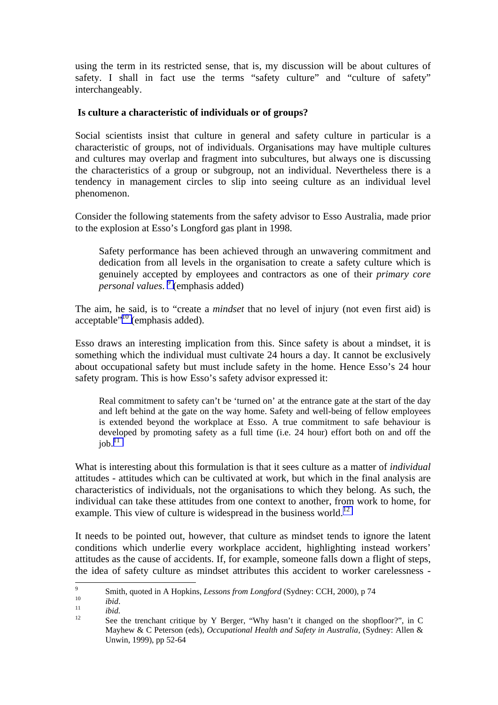using the term in its restricted sense, that is, my discussion will be about cultures of safety. I shall in fact use the terms "safety culture" and "culture of safety" interchangeably.

### **Is culture a characteristic of individuals or of groups?**

Social scientists insist that culture in general and safety culture in particular is a characteristic of groups, not of individuals. Organisations may have multiple cultures and cultures may overlap and fragment into subcultures, but always one is discussing the characteristics of a group or subgroup, not an individual. Nevertheless there is a tendency in management circles to slip into seeing culture as an individual level phenomenon.

Consider the following statements from the safety advisor to Esso Australia, made prior to the explosion at Esso's Longford gas plant in 1998.

Safety performance has been achieved through an unwavering commitment and dedication from all levels in the organisation to create a safety culture which is genuinely accepted by employees and contractors as one of their *primary core personal values*. 9 (emphasis added)

The aim, he said, is to "create a *mindset* that no level of injury (not even first aid) is acceptable"10 (emphasis added).

Esso draws an interesting implication from this. Since safety is about a mindset, it is something which the individual must cultivate 24 hours a day. It cannot be exclusively about occupational safety but must include safety in the home. Hence Esso's 24 hour safety program. This is how Esso's safety advisor expressed it:

Real commitment to safety can't be 'turned on' at the entrance gate at the start of the day and left behind at the gate on the way home. Safety and well-being of fellow employees is extended beyond the workplace at Esso. A true commitment to safe behaviour is developed by promoting safety as a full time (i.e. 24 hour) effort both on and off the  $job.<sup>11</sup>$ 

What is interesting about this formulation is that it sees culture as a matter of *individual* attitudes - attitudes which can be cultivated at work, but which in the final analysis are characteristics of individuals, not the organisations to which they belong. As such, the individual can take these attitudes from one context to another, from work to home, for example. This view of culture is widespread in the business world.<sup>12</sup>

It needs to be pointed out, however, that culture as mindset tends to ignore the latent conditions which underlie every workplace accident, highlighting instead workers' attitudes as the cause of accidents. If, for example, someone falls down a flight of steps, the idea of safety culture as mindset attributes this accident to worker carelessness -

<sup>.&</sup>lt;br>9 Smith, quoted in A Hopkins, *Lessons from Longford* (Sydney: CCH, 2000), p 74<br>
<sup>10</sup> *ibid.*<br>
<sup>12</sup> See the trenchant critique by Y Berger, "Why hasn't it changed on the shopfloor?", in C

Mayhew & C Peterson (eds), *Occupational Health and Safety in Australia*, (Sydney: Allen & Unwin, 1999), pp 52-64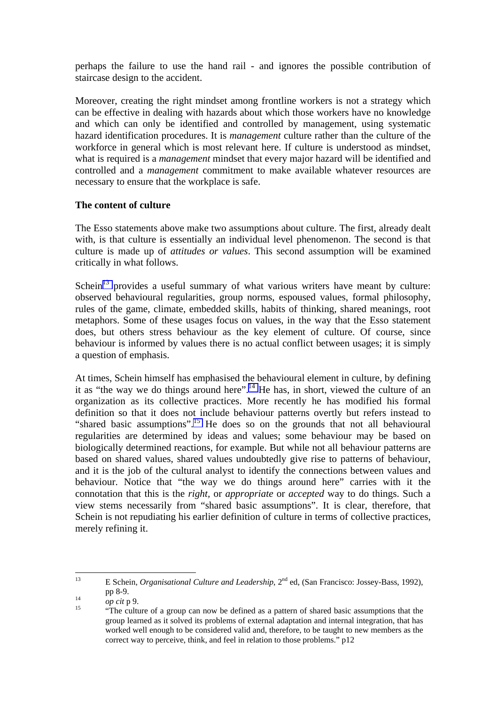perhaps the failure to use the hand rail - and ignores the possible contribution of staircase design to the accident.

Moreover, creating the right mindset among frontline workers is not a strategy which can be effective in dealing with hazards about which those workers have no knowledge and which can only be identified and controlled by management, using systematic hazard identification procedures. It is *management* culture rather than the culture of the workforce in general which is most relevant here. If culture is understood as mindset, what is required is a *management* mindset that every major hazard will be identified and controlled and a *management* commitment to make available whatever resources are necessary to ensure that the workplace is safe.

## **The content of culture**

The Esso statements above make two assumptions about culture. The first, already dealt with, is that culture is essentially an individual level phenomenon. The second is that culture is made up of *attitudes or values*. This second assumption will be examined critically in what follows.

Schein<sup>13</sup> provides a useful summary of what various writers have meant by culture: observed behavioural regularities, group norms, espoused values, formal philosophy, rules of the game, climate, embedded skills, habits of thinking, shared meanings, root metaphors. Some of these usages focus on values, in the way that the Esso statement does, but others stress behaviour as the key element of culture. Of course, since behaviour is informed by values there is no actual conflict between usages; it is simply a question of emphasis.

At times, Schein himself has emphasised the behavioural element in culture, by defining it as "the way we do things around here".<sup>14</sup> He has, in short, viewed the culture of an organization as its collective practices. More recently he has modified his formal definition so that it does not include behaviour patterns overtly but refers instead to "shared basic assumptions".<sup>15</sup> He does so on the grounds that not all behavioural regularities are determined by ideas and values; some behaviour may be based on biologically determined reactions, for example. But while not all behaviour patterns are based on shared values, shared values undoubtedly give rise to patterns of behaviour, and it is the job of the cultural analyst to identify the connections between values and behaviour. Notice that "the way we do things around here" carries with it the connotation that this is the *right,* or *appropriate* or *accepted* way to do things. Such a view stems necessarily from "shared basic assumptions". It is clear, therefore, that Schein is not repudiating his earlier definition of culture in terms of collective practices, merely refining it.

 $13$ 13 E Schein, *Organisational Culture and Leadership*, 2nd ed, (San Francisco: Jossey-Bass, 1992),

pp 8-9.<br> *op cit* p 9.<br>
"The culture of a group can now be defined as a pattern of shared basic assumptions that the group learned as it solved its problems of external adaptation and internal integration, that has worked well enough to be considered valid and, therefore, to be taught to new members as the correct way to perceive, think, and feel in relation to those problems." p12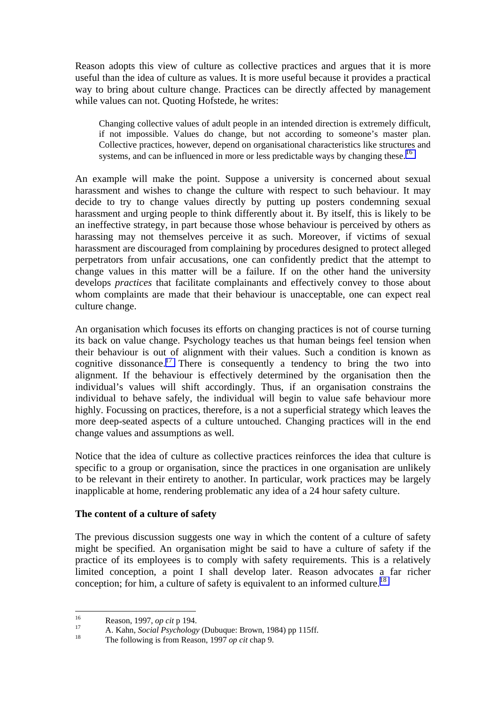Reason adopts this view of culture as collective practices and argues that it is more useful than the idea of culture as values. It is more useful because it provides a practical way to bring about culture change. Practices can be directly affected by management while values can not. Quoting Hofstede, he writes:

Changing collective values of adult people in an intended direction is extremely difficult, if not impossible. Values do change, but not according to someone's master plan. Collective practices, however, depend on organisational characteristics like structures and systems, and can be influenced in more or less predictable ways by changing these.<sup>16</sup>

An example will make the point. Suppose a university is concerned about sexual harassment and wishes to change the culture with respect to such behaviour. It may decide to try to change values directly by putting up posters condemning sexual harassment and urging people to think differently about it. By itself, this is likely to be an ineffective strategy, in part because those whose behaviour is perceived by others as harassing may not themselves perceive it as such. Moreover, if victims of sexual harassment are discouraged from complaining by procedures designed to protect alleged perpetrators from unfair accusations, one can confidently predict that the attempt to change values in this matter will be a failure. If on the other hand the university develops *practices* that facilitate complainants and effectively convey to those about whom complaints are made that their behaviour is unacceptable, one can expect real culture change.

An organisation which focuses its efforts on changing practices is not of course turning its back on value change. Psychology teaches us that human beings feel tension when their behaviour is out of alignment with their values. Such a condition is known as cognitive dissonance.<sup>17</sup> There is consequently a tendency to bring the two into alignment. If the behaviour is effectively determined by the organisation then the individual's values will shift accordingly. Thus, if an organisation constrains the individual to behave safely, the individual will begin to value safe behaviour more highly. Focussing on practices, therefore, is a not a superficial strategy which leaves the more deep-seated aspects of a culture untouched. Changing practices will in the end change values and assumptions as well.

Notice that the idea of culture as collective practices reinforces the idea that culture is specific to a group or organisation, since the practices in one organisation are unlikely to be relevant in their entirety to another. In particular, work practices may be largely inapplicable at home, rendering problematic any idea of a 24 hour safety culture.

#### **The content of a culture of safety**

The previous discussion suggests one way in which the content of a culture of safety might be specified. An organisation might be said to have a culture of safety if the practice of its employees is to comply with safety requirements. This is a relatively limited conception, a point I shall develop later. Reason advocates a far richer conception; for him, a culture of safety is equivalent to an informed culture.<sup>18</sup>

 $16$ 

<sup>16</sup> Reason, 1997, *op cit* p 194.<br>
17 A. Kahn, *Social Psychology* (Dubuque: Brown, 1984) pp 115ff.<br>
18 The following is from Reason, 1997 *op cit* chap 9.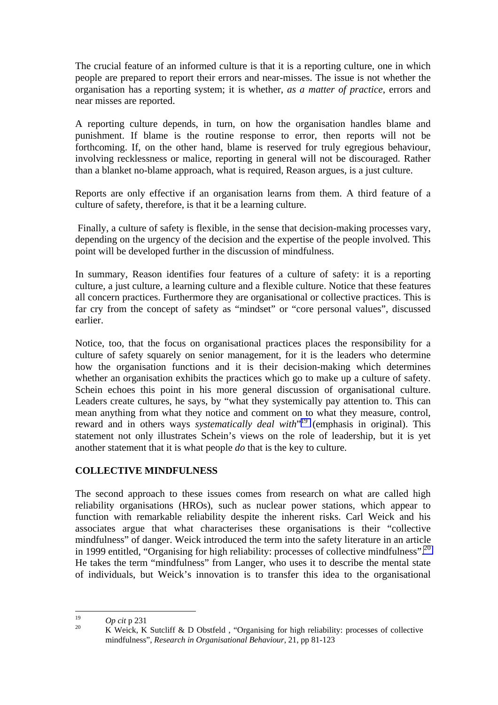The crucial feature of an informed culture is that it is a reporting culture, one in which people are prepared to report their errors and near-misses. The issue is not whether the organisation has a reporting system; it is whether, *as a matter of practice*, errors and near misses are reported.

A reporting culture depends, in turn, on how the organisation handles blame and punishment. If blame is the routine response to error, then reports will not be forthcoming. If, on the other hand, blame is reserved for truly egregious behaviour, involving recklessness or malice, reporting in general will not be discouraged. Rather than a blanket no-blame approach, what is required, Reason argues, is a just culture.

Reports are only effective if an organisation learns from them. A third feature of a culture of safety, therefore, is that it be a learning culture.

 Finally, a culture of safety is flexible, in the sense that decision-making processes vary, depending on the urgency of the decision and the expertise of the people involved. This point will be developed further in the discussion of mindfulness.

In summary, Reason identifies four features of a culture of safety: it is a reporting culture, a just culture, a learning culture and a flexible culture. Notice that these features all concern practices. Furthermore they are organisational or collective practices. This is far cry from the concept of safety as "mindset" or "core personal values", discussed earlier.

Notice, too, that the focus on organisational practices places the responsibility for a culture of safety squarely on senior management, for it is the leaders who determine how the organisation functions and it is their decision-making which determines whether an organisation exhibits the practices which go to make up a culture of safety. Schein echoes this point in his more general discussion of organisational culture. Leaders create cultures, he says, by "what they systemically pay attention to. This can mean anything from what they notice and comment on to what they measure, control, reward and in others ways *systematically deal with*<sup>19</sup> (emphasis in original). This statement not only illustrates Schein's views on the role of leadership, but it is yet another statement that it is what people *do* that is the key to culture.

## **COLLECTIVE MINDFULNESS**

The second approach to these issues comes from research on what are called high reliability organisations (HROs), such as nuclear power stations, which appear to function with remarkable reliability despite the inherent risks. Carl Weick and his associates argue that what characterises these organisations is their "collective mindfulness" of danger. Weick introduced the term into the safety literature in an article in 1999 entitled, "Organising for high reliability: processes of collective mindfulness".<sup>20</sup> He takes the term "mindfulness" from Langer, who uses it to describe the mental state of individuals, but Weick's innovation is to transfer this idea to the organisational

 $19$ 

<sup>&</sup>lt;sup>19</sup> *Op cit* p 231 <br><sup>20</sup> K Weick, K Sutcliff & D Obstfeld, "Organising for high reliability: processes of collective mindfulness", *Research in Organisational Behaviour*, 21, pp 81-123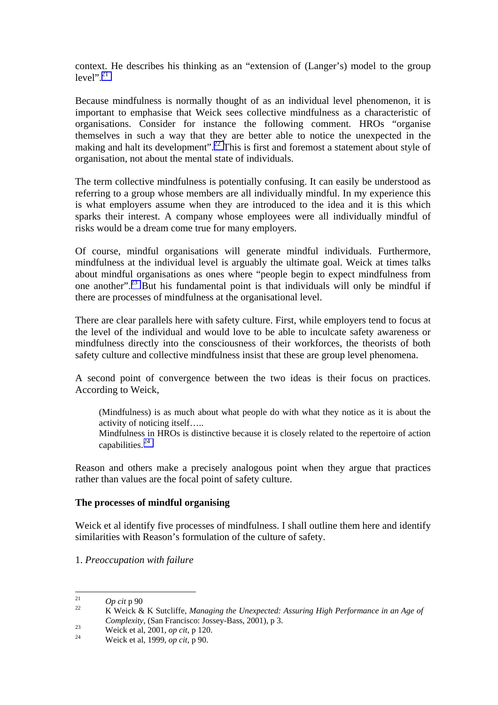context. He describes his thinking as an "extension of (Langer's) model to the group  $level$ <sup>", 21</sup>

Because mindfulness is normally thought of as an individual level phenomenon, it is important to emphasise that Weick sees collective mindfulness as a characteristic of organisations. Consider for instance the following comment. HROs "organise themselves in such a way that they are better able to notice the unexpected in the making and halt its development".<sup>22</sup> This is first and foremost a statement about style of organisation, not about the mental state of individuals.

The term collective mindfulness is potentially confusing. It can easily be understood as referring to a group whose members are all individually mindful. In my experience this is what employers assume when they are introduced to the idea and it is this which sparks their interest. A company whose employees were all individually mindful of risks would be a dream come true for many employers.

Of course, mindful organisations will generate mindful individuals. Furthermore, mindfulness at the individual level is arguably the ultimate goal. Weick at times talks about mindful organisations as ones where "people begin to expect mindfulness from one another".<sup>23</sup> But his fundamental point is that individuals will only be mindful if there are processes of mindfulness at the organisational level.

There are clear parallels here with safety culture. First, while employers tend to focus at the level of the individual and would love to be able to inculcate safety awareness or mindfulness directly into the consciousness of their workforces, the theorists of both safety culture and collective mindfulness insist that these are group level phenomena.

A second point of convergence between the two ideas is their focus on practices. According to Weick,

(Mindfulness) is as much about what people do with what they notice as it is about the activity of noticing itself….. Mindfulness in HROs is distinctive because it is closely related to the repertoire of action

capabilities. 24

Reason and others make a precisely analogous point when they argue that practices rather than values are the focal point of safety culture.

#### **The processes of mindful organising**

Weick et al identify five processes of mindfulness. I shall outline them here and identify similarities with Reason's formulation of the culture of safety.

1. *Preoccupation with failure*

 $21$ 

<sup>&</sup>lt;sup>21</sup> *Op cit* p 90<br><sup>22</sup> K Weick & K Sutcliffe, *Managing the Unexpected: Assuring High Performance in an Age of Complexity*, (San Francisco: Jossey-Bass, 2001), p 3.<br>
<sup>23</sup> Weick et al, 2001, *op cit*, p 120.<br>
Weick et al, 1999, *op cit*, p 90.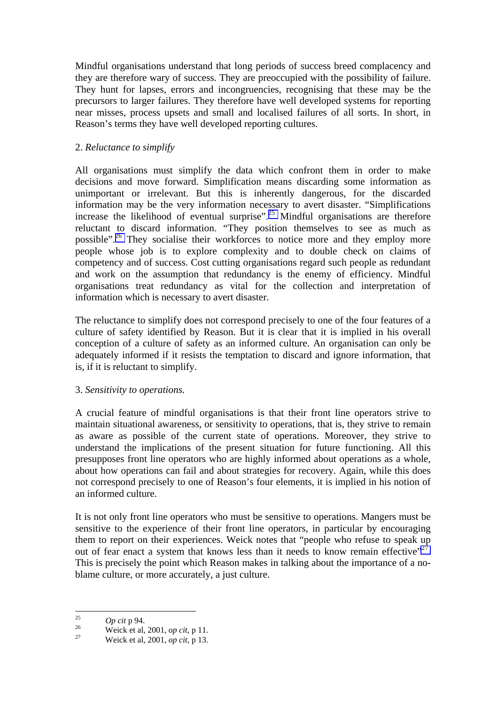Mindful organisations understand that long periods of success breed complacency and they are therefore wary of success. They are preoccupied with the possibility of failure. They hunt for lapses, errors and incongruencies, recognising that these may be the precursors to larger failures. They therefore have well developed systems for reporting near misses, process upsets and small and localised failures of all sorts. In short, in Reason's terms they have well developed reporting cultures.

## 2. *Reluctance to simplify*

All organisations must simplify the data which confront them in order to make decisions and move forward. Simplification means discarding some information as unimportant or irrelevant. But this is inherently dangerous, for the discarded information may be the very information necessary to avert disaster. "Simplifications increase the likelihood of eventual surprise".<sup>25</sup> Mindful organisations are therefore reluctant to discard information. "They position themselves to see as much as possible".26 They socialise their workforces to notice more and they employ more people whose job is to explore complexity and to double check on claims of competency and of success. Cost cutting organisations regard such people as redundant and work on the assumption that redundancy is the enemy of efficiency. Mindful organisations treat redundancy as vital for the collection and interpretation of information which is necessary to avert disaster.

The reluctance to simplify does not correspond precisely to one of the four features of a culture of safety identified by Reason. But it is clear that it is implied in his overall conception of a culture of safety as an informed culture. An organisation can only be adequately informed if it resists the temptation to discard and ignore information, that is, if it is reluctant to simplify.

## 3. *Sensitivity to operations.*

A crucial feature of mindful organisations is that their front line operators strive to maintain situational awareness, or sensitivity to operations, that is, they strive to remain as aware as possible of the current state of operations. Moreover, they strive to understand the implications of the present situation for future functioning. All this presupposes front line operators who are highly informed about operations as a whole, about how operations can fail and about strategies for recovery. Again, while this does not correspond precisely to one of Reason's four elements, it is implied in his notion of an informed culture.

It is not only front line operators who must be sensitive to operations. Mangers must be sensitive to the experience of their front line operators, in particular by encouraging them to report on their experiences. Weick notes that "people who refuse to speak up out of fear enact a system that knows less than it needs to know remain effective"<sup>27</sup>. This is precisely the point which Reason makes in talking about the importance of a noblame culture, or more accurately, a just culture.

 $25$ 

<sup>25</sup>*Op cit* p 94. 26 Weick et al, 2001, *op cit*, p 11. 27 Weick et al, 2001, *op cit*, p 13.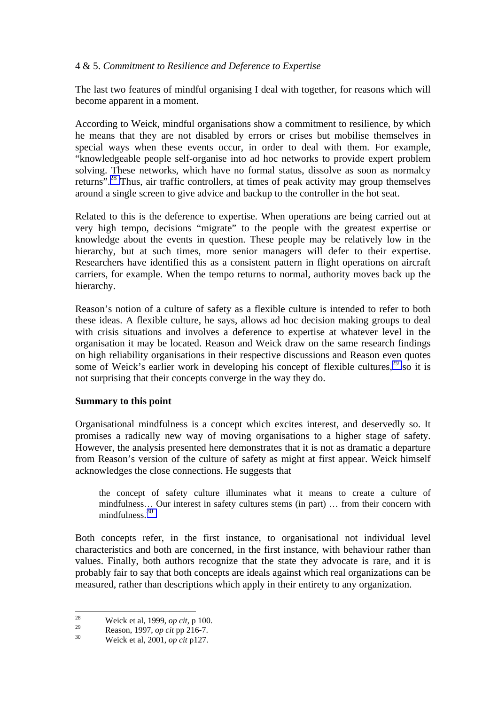## 4 & 5. *Commitment to Resilience and Deference to Expertise*

The last two features of mindful organising I deal with together, for reasons which will become apparent in a moment.

According to Weick, mindful organisations show a commitment to resilience, by which he means that they are not disabled by errors or crises but mobilise themselves in special ways when these events occur, in order to deal with them. For example, "knowledgeable people self-organise into ad hoc networks to provide expert problem solving. These networks, which have no formal status, dissolve as soon as normalcy returns".28 Thus, air traffic controllers, at times of peak activity may group themselves around a single screen to give advice and backup to the controller in the hot seat.

Related to this is the deference to expertise. When operations are being carried out at very high tempo, decisions "migrate" to the people with the greatest expertise or knowledge about the events in question. These people may be relatively low in the hierarchy, but at such times, more senior managers will defer to their expertise. Researchers have identified this as a consistent pattern in flight operations on aircraft carriers, for example. When the tempo returns to normal, authority moves back up the hierarchy.

Reason's notion of a culture of safety as a flexible culture is intended to refer to both these ideas. A flexible culture, he says, allows ad hoc decision making groups to deal with crisis situations and involves a deference to expertise at whatever level in the organisation it may be located. Reason and Weick draw on the same research findings on high reliability organisations in their respective discussions and Reason even quotes some of Weick's earlier work in developing his concept of flexible cultures, $29$  so it is not surprising that their concepts converge in the way they do.

#### **Summary to this point**

Organisational mindfulness is a concept which excites interest, and deservedly so. It promises a radically new way of moving organisations to a higher stage of safety. However, the analysis presented here demonstrates that it is not as dramatic a departure from Reason's version of the culture of safety as might at first appear. Weick himself acknowledges the close connections. He suggests that

the concept of safety culture illuminates what it means to create a culture of mindfulness… Our interest in safety cultures stems (in part) … from their concern with mindfulness. 30

Both concepts refer, in the first instance, to organisational not individual level characteristics and both are concerned, in the first instance, with behaviour rather than values. Finally, both authors recognize that the state they advocate is rare, and it is probably fair to say that both concepts are ideals against which real organizations can be measured, rather than descriptions which apply in their entirety to any organization.

<sup>28</sup> 28 Weick et al, 1999, *op cit*, p 100.

<sup>29</sup> Reason, 1997, *op cit* pp 216-7. 30 Weick et al, 2001, *op cit* p127.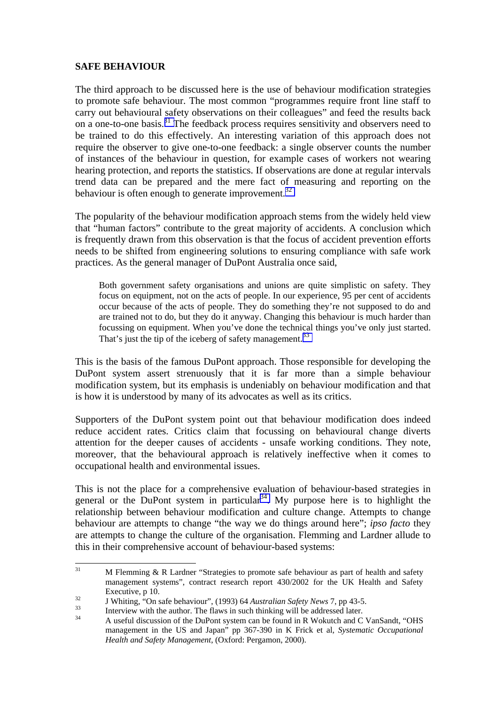## **SAFE BEHAVIOUR**

The third approach to be discussed here is the use of behaviour modification strategies to promote safe behaviour. The most common "programmes require front line staff to carry out behavioural safety observations on their colleagues" and feed the results back on a one-to-one basis.<sup>31</sup> The feedback process requires sensitivity and observers need to be trained to do this effectively. An interesting variation of this approach does not require the observer to give one-to-one feedback: a single observer counts the number of instances of the behaviour in question, for example cases of workers not wearing hearing protection, and reports the statistics. If observations are done at regular intervals trend data can be prepared and the mere fact of measuring and reporting on the behaviour is often enough to generate improvement.<sup>32</sup>

The popularity of the behaviour modification approach stems from the widely held view that "human factors" contribute to the great majority of accidents. A conclusion which is frequently drawn from this observation is that the focus of accident prevention efforts needs to be shifted from engineering solutions to ensuring compliance with safe work practices. As the general manager of DuPont Australia once said,

Both government safety organisations and unions are quite simplistic on safety. They focus on equipment, not on the acts of people. In our experience, 95 per cent of accidents occur because of the acts of people. They do something they're not supposed to do and are trained not to do, but they do it anyway. Changing this behaviour is much harder than focussing on equipment. When you've done the technical things you've only just started. That's just the tip of the iceberg of safety management.<sup>33</sup>

This is the basis of the famous DuPont approach. Those responsible for developing the DuPont system assert strenuously that it is far more than a simple behaviour modification system, but its emphasis is undeniably on behaviour modification and that is how it is understood by many of its advocates as well as its critics.

Supporters of the DuPont system point out that behaviour modification does indeed reduce accident rates. Critics claim that focussing on behavioural change diverts attention for the deeper causes of accidents - unsafe working conditions. They note, moreover, that the behavioural approach is relatively ineffective when it comes to occupational health and environmental issues.

This is not the place for a comprehensive evaluation of behaviour-based strategies in general or the DuPont system in particular<sup>34</sup>. My purpose here is to highlight the relationship between behaviour modification and culture change. Attempts to change behaviour are attempts to change "the way we do things around here"; *ipso facto* they are attempts to change the culture of the organisation. Flemming and Lardner allude to this in their comprehensive account of behaviour-based systems:

 $31$  $M$  Flemming  $\&$  R Lardner "Strategies to promote safe behaviour as part of health and safety management systems", contract research report 430/2002 for the UK Health and Safety

Executive, p 10.<br>
J Whiting, "On safe behaviour", (1993) 64 Australian Safety News 7, pp 43-5.<br>
Interview with the author. The flaws in such thinking will be addressed later.<br>
A useful discussion of the DuPont system can b management in the US and Japan" pp 367-390 in K Frick et al*, Systematic Occupational Health and Safety Management*, (Oxford: Pergamon, 2000).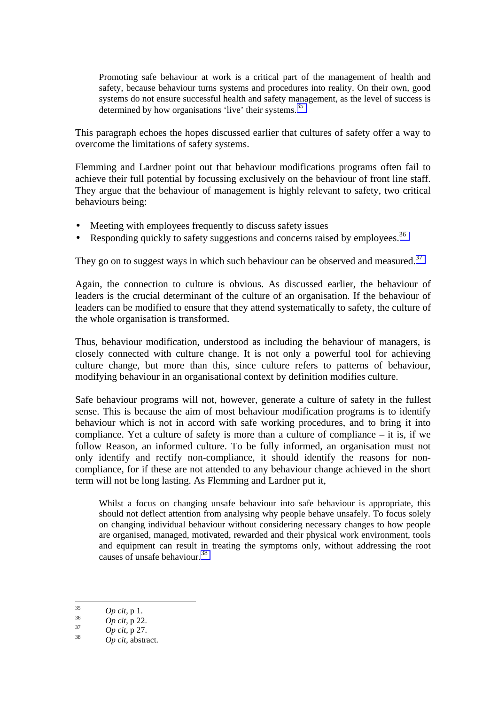Promoting safe behaviour at work is a critical part of the management of health and safety, because behaviour turns systems and procedures into reality. On their own, good systems do not ensure successful health and safety management, as the level of success is determined by how organisations 'live' their systems.<sup>35</sup>

This paragraph echoes the hopes discussed earlier that cultures of safety offer a way to overcome the limitations of safety systems.

Flemming and Lardner point out that behaviour modifications programs often fail to achieve their full potential by focussing exclusively on the behaviour of front line staff. They argue that the behaviour of management is highly relevant to safety, two critical behaviours being:

- Meeting with employees frequently to discuss safety issues
- Responding quickly to safety suggestions and concerns raised by employees.<sup>36</sup>

They go on to suggest ways in which such behaviour can be observed and measured.<sup>37</sup>

Again, the connection to culture is obvious. As discussed earlier, the behaviour of leaders is the crucial determinant of the culture of an organisation. If the behaviour of leaders can be modified to ensure that they attend systematically to safety, the culture of the whole organisation is transformed.

Thus, behaviour modification, understood as including the behaviour of managers, is closely connected with culture change. It is not only a powerful tool for achieving culture change, but more than this, since culture refers to patterns of behaviour, modifying behaviour in an organisational context by definition modifies culture.

Safe behaviour programs will not, however, generate a culture of safety in the fullest sense. This is because the aim of most behaviour modification programs is to identify behaviour which is not in accord with safe working procedures, and to bring it into compliance. Yet a culture of safety is more than a culture of compliance – it is, if we follow Reason, an informed culture. To be fully informed, an organisation must not only identify and rectify non-compliance, it should identify the reasons for noncompliance, for if these are not attended to any behaviour change achieved in the short term will not be long lasting. As Flemming and Lardner put it,

Whilst a focus on changing unsafe behaviour into safe behaviour is appropriate, this should not deflect attention from analysing why people behave unsafely. To focus solely on changing individual behaviour without considering necessary changes to how people are organised, managed, motivated, rewarded and their physical work environment, tools and equipment can result in treating the symptoms only, without addressing the root causes of unsafe behaviour. 38

 $35$ 

<sup>35</sup>*Op cit*, p 1. 36 *Op cit*, p 22. 37 *Op cit*, p 27. 38 *Op cit*, abstract.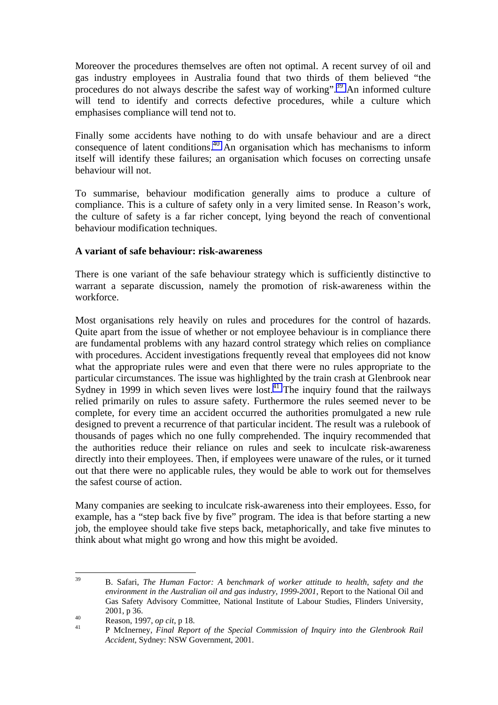Moreover the procedures themselves are often not optimal. A recent survey of oil and gas industry employees in Australia found that two thirds of them believed "the procedures do not always describe the safest way of working".<sup>39</sup> An informed culture will tend to identify and corrects defective procedures, while a culture which emphasises compliance will tend not to.

Finally some accidents have nothing to do with unsafe behaviour and are a direct consequence of latent conditions.<sup>40</sup> An organisation which has mechanisms to inform itself will identify these failures; an organisation which focuses on correcting unsafe behaviour will not.

To summarise, behaviour modification generally aims to produce a culture of compliance. This is a culture of safety only in a very limited sense. In Reason's work, the culture of safety is a far richer concept, lying beyond the reach of conventional behaviour modification techniques.

### **A variant of safe behaviour: risk-awareness**

There is one variant of the safe behaviour strategy which is sufficiently distinctive to warrant a separate discussion, namely the promotion of risk-awareness within the workforce.

Most organisations rely heavily on rules and procedures for the control of hazards. Quite apart from the issue of whether or not employee behaviour is in compliance there are fundamental problems with any hazard control strategy which relies on compliance with procedures. Accident investigations frequently reveal that employees did not know what the appropriate rules were and even that there were no rules appropriate to the particular circumstances. The issue was highlighted by the train crash at Glenbrook near Sydney in 1999 in which seven lives were lost.<sup>41</sup> The inquiry found that the railways relied primarily on rules to assure safety. Furthermore the rules seemed never to be complete, for every time an accident occurred the authorities promulgated a new rule designed to prevent a recurrence of that particular incident. The result was a rulebook of thousands of pages which no one fully comprehended. The inquiry recommended that the authorities reduce their reliance on rules and seek to inculcate risk-awareness directly into their employees. Then, if employees were unaware of the rules, or it turned out that there were no applicable rules, they would be able to work out for themselves the safest course of action.

Many companies are seeking to inculcate risk-awareness into their employees. Esso, for example, has a "step back five by five" program. The idea is that before starting a new job, the employee should take five steps back, metaphorically, and take five minutes to think about what might go wrong and how this might be avoided.

 $30^{\circ}$ 39 B. Safari, *The Human Factor: A benchmark of worker attitude to health, safety and the environment in the Australian oil and gas industry, 1999-2001*, Report to the National Oil and Gas Safety Advisory Committee, National Institute of Labour Studies, Flinders University, 2001, p 36.<br>
<sup>40</sup> Reason, 1997, *op cit*, p 18.<br>
<sup>41</sup> P McInerney, *Final Report of the Special Commission of Inquiry into the Glenbrook Rail* 

*Accident*, Sydney: NSW Government, 2001.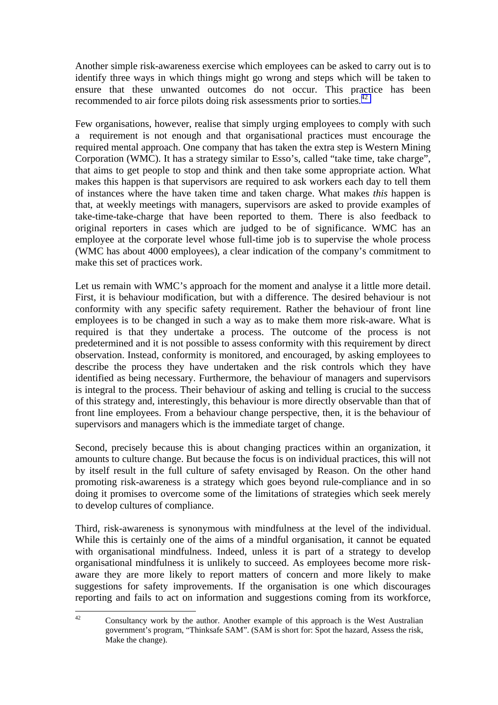Another simple risk-awareness exercise which employees can be asked to carry out is to identify three ways in which things might go wrong and steps which will be taken to ensure that these unwanted outcomes do not occur. This practice has been recommended to air force pilots doing risk assessments prior to sorties.<sup>42</sup>

Few organisations, however, realise that simply urging employees to comply with such a requirement is not enough and that organisational practices must encourage the required mental approach. One company that has taken the extra step is Western Mining Corporation (WMC). It has a strategy similar to Esso's, called "take time, take charge", that aims to get people to stop and think and then take some appropriate action. What makes this happen is that supervisors are required to ask workers each day to tell them of instances where the have taken time and taken charge. What makes *this* happen is that, at weekly meetings with managers, supervisors are asked to provide examples of take-time-take-charge that have been reported to them. There is also feedback to original reporters in cases which are judged to be of significance. WMC has an employee at the corporate level whose full-time job is to supervise the whole process (WMC has about 4000 employees), a clear indication of the company's commitment to make this set of practices work.

Let us remain with WMC's approach for the moment and analyse it a little more detail. First, it is behaviour modification, but with a difference. The desired behaviour is not conformity with any specific safety requirement. Rather the behaviour of front line employees is to be changed in such a way as to make them more risk-aware. What is required is that they undertake a process. The outcome of the process is not predetermined and it is not possible to assess conformity with this requirement by direct observation. Instead, conformity is monitored, and encouraged, by asking employees to describe the process they have undertaken and the risk controls which they have identified as being necessary. Furthermore, the behaviour of managers and supervisors is integral to the process. Their behaviour of asking and telling is crucial to the success of this strategy and, interestingly, this behaviour is more directly observable than that of front line employees. From a behaviour change perspective, then, it is the behaviour of supervisors and managers which is the immediate target of change.

Second, precisely because this is about changing practices within an organization, it amounts to culture change. But because the focus is on individual practices, this will not by itself result in the full culture of safety envisaged by Reason. On the other hand promoting risk-awareness is a strategy which goes beyond rule-compliance and in so doing it promises to overcome some of the limitations of strategies which seek merely to develop cultures of compliance.

Third, risk-awareness is synonymous with mindfulness at the level of the individual. While this is certainly one of the aims of a mindful organisation, it cannot be equated with organisational mindfulness. Indeed, unless it is part of a strategy to develop organisational mindfulness it is unlikely to succeed. As employees become more riskaware they are more likely to report matters of concern and more likely to make suggestions for safety improvements. If the organisation is one which discourages reporting and fails to act on information and suggestions coming from its workforce,

 $42^{\circ}$ 42 Consultancy work by the author. Another example of this approach is the West Australian government's program, "Thinksafe SAM". (SAM is short for: Spot the hazard, Assess the risk, Make the change).